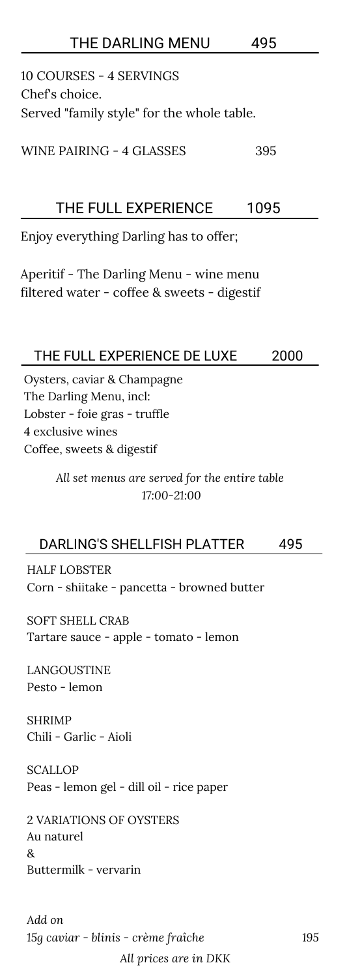## 10 COURSES - 4 SERVINGS Chef's choice. Served "family style" for the whole table. WINE PAIRING - 4 GLASSES 395 THE DARLING MENU 495 Enjoy everything Darling has to offer; Aperitif - The Darling Menu - wine menu filtered water - coffee & sweets - digestif THE FULL EXPERIENCE 1095 Oysters, caviar & Champagne The Darling Menu, incl: Lobster - foie gras - truffle 4 exclusive wines Coffee, sweets & digestif THE FULL EXPERIENCE DE LUXE 2000 *All set menus are served for the entire table 17:00-21:00* DARLING'S SHELLFISH PLATTER 495 HALF LOBSTER Corn - shiitake - pancetta - browned butter SOFT SHELL CRAB Tartare sauce - apple - tomato - lemon LANGOUSTINE Pesto - lemon SHRIMP Chili - Garlic - Aioli

**SCALLOP** Peas - lemon gel - dill oil - rice paper

2 VARIATIONS OF OYSTERS Au naturel & Buttermilk - vervarin

*All prices are in DKK*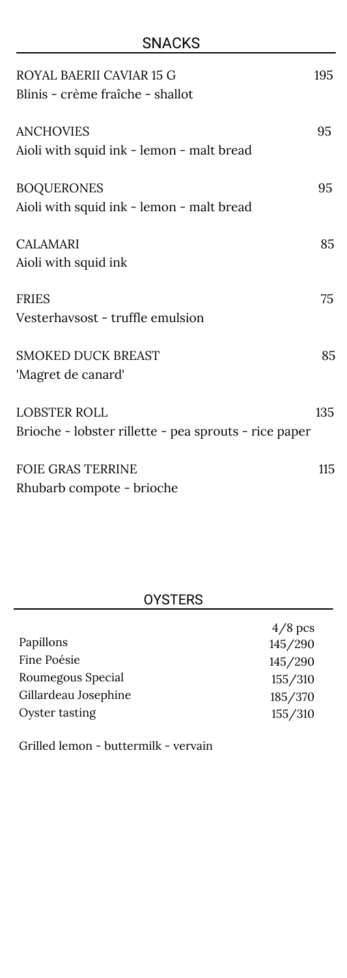## SNACKS

| ROYAL BAERII CAVIAR 15 G<br>Blinis - crème fraîche - shallot                 | 195 |
|------------------------------------------------------------------------------|-----|
| <b>ANCHOVIES</b><br>Aioli with squid ink - lemon - malt bread                | 95  |
| <b>BOQUERONES</b><br>Aioli with squid ink - lemon - malt bread               | 95  |
| <b>CALAMARI</b><br>Aioli with squid ink                                      | 85  |
| <b>FRIES</b><br>Vesterhavsost - truffle emulsion                             | 75  |
| <b>SMOKED DUCK BREAST</b><br>'Magret de canard'                              | 85  |
| <b>LOBSTER ROLL</b><br>Brioche - lobster rillette - pea sprouts - rice paper | 135 |
| <b>FOIE GRAS TERRINE</b><br>Rhubarb compote - brioche                        | 115 |

## OYSTERS

|                      | $4/8$ pcs |
|----------------------|-----------|
| Papillons            | 145/290   |
| Fine Poésie          | 145/290   |
| Roumegous Special    | 155/310   |
| Gillardeau Josephine | 185/370   |
| Oyster tasting       | 155/310   |

Grilled lemon - buttermilk - vervain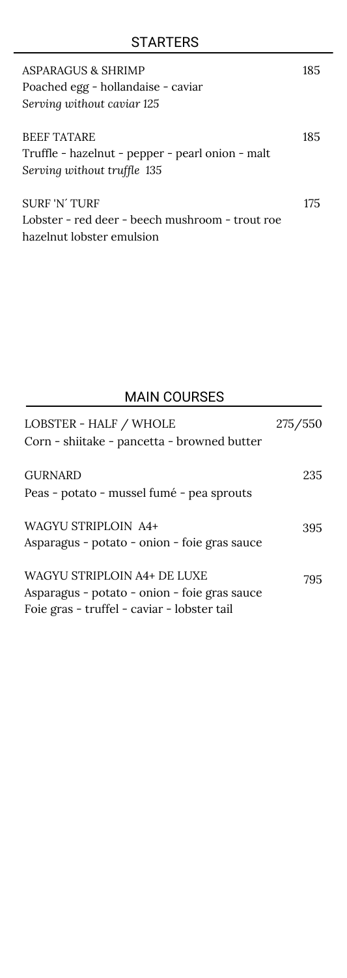| ASPARAGUS & SHRIMP<br>Poached egg - hollandaise - caviar<br>Serving without caviar 125                | 185 |
|-------------------------------------------------------------------------------------------------------|-----|
| <b>BEEF TATARE</b><br>Truffle - hazelnut - pepper - pearl onion - malt<br>Serving without truffle 135 | 185 |
| <b>SURF 'N' TURF</b><br>Lobster - red deer - beech mushroom - trout roe<br>hazelnut lobster emulsion  | 175 |

## MAIN COURSES

| LOBSTER - HALF / WHOLE<br>Corn - shiitake - pancetta - browned butter | 275/550 |
|-----------------------------------------------------------------------|---------|
| <b>GURNARD</b>                                                        | 235     |
| Peas - potato - mussel fumé - pea sprouts                             |         |
| <b>WAGYU STRIPLOIN A4+</b>                                            | 395     |
| Asparagus - potato - onion - foie gras sauce                          |         |
| WAGYU STRIPLOIN A4+ DE LUXE                                           | 795     |
| Asparagus - potato - onion - foie gras sauce                          |         |
| Foie gras - truffel - caviar - lobster tail                           |         |